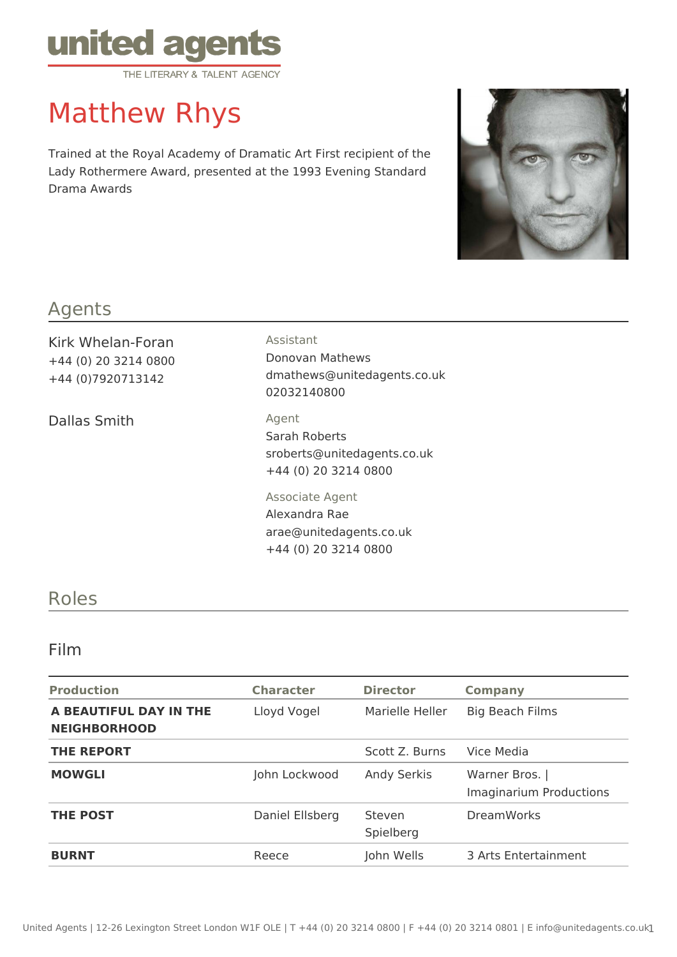

# Matthew Rhys

Trained at the Royal Academy of Dramatic Art First recipient of the Lady Rothermere Award, presented at the 1993 Evening Standard Drama Awards



#### Agents

Kirk Whelan-Foran +44 (0) 20 3214 0800 +44 (0)7920713142

Dallas Smith Agent

#### Assistant

Donovan Mathews dmathews@unitedagents.co.uk 02032140800

Sarah Roberts sroberts@unitedagents.co.uk

+44 (0) 20 3214 0800 Associate Agent Alexandra Rae arae@unitedagents.co.uk

+44 (0) 20 3214 0800

### Roles

#### Film

| <b>Production</b>                             | <b>Character</b> | <b>Director</b>     | <b>Company</b>                                   |
|-----------------------------------------------|------------------|---------------------|--------------------------------------------------|
| A BEAUTIFUL DAY IN THE<br><b>NEIGHBORHOOD</b> | Lloyd Vogel      | Marielle Heller     | <b>Big Beach Films</b>                           |
| <b>THE REPORT</b>                             |                  | Scott Z. Burns      | Vice Media                                       |
| <b>MOWGLI</b>                                 | John Lockwood    | <b>Andy Serkis</b>  | Warner Bros.  <br><b>Imaginarium Productions</b> |
| <b>THE POST</b>                               | Daniel Ellsberg  | Steven<br>Spielberg | <b>DreamWorks</b>                                |
| <b>BURNT</b>                                  | Reece            | John Wells          | 3 Arts Entertainment                             |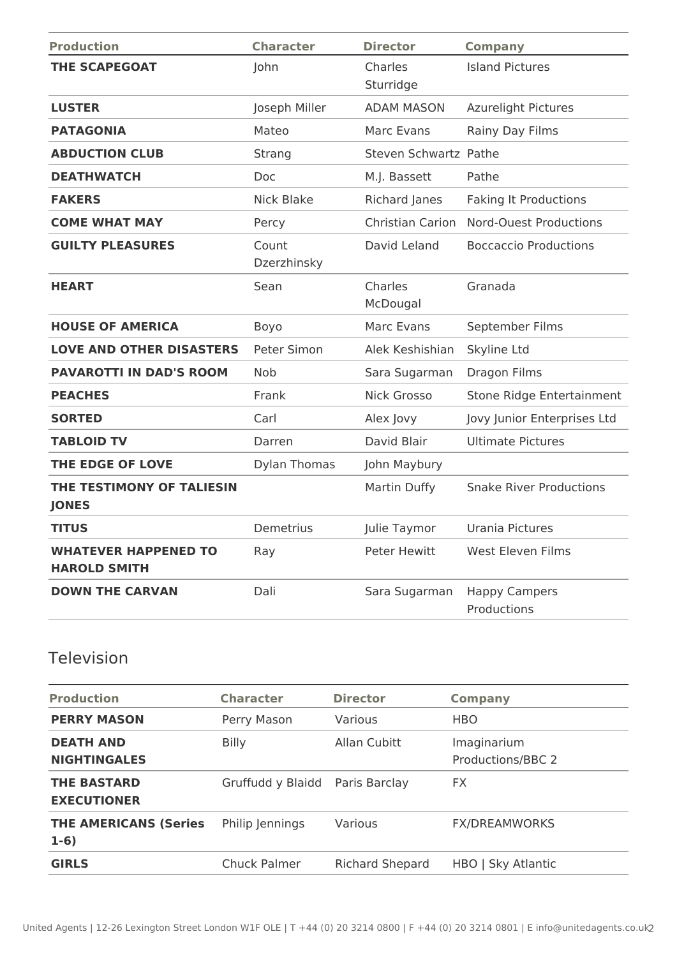| <b>Production</b>                                  | <b>Character</b>     | <b>Director</b>         | <b>Company</b>                      |
|----------------------------------------------------|----------------------|-------------------------|-------------------------------------|
| <b>THE SCAPEGOAT</b>                               | John                 | Charles<br>Sturridge    | <b>Island Pictures</b>              |
| <b>LUSTER</b>                                      | Joseph Miller        | <b>ADAM MASON</b>       | <b>Azurelight Pictures</b>          |
| <b>PATAGONIA</b>                                   | Mateo                | Marc Evans              | Rainy Day Films                     |
| <b>ABDUCTION CLUB</b>                              | Strang               | Steven Schwartz Pathe   |                                     |
| <b>DEATHWATCH</b>                                  | <b>Doc</b>           | M.J. Bassett            | Pathe                               |
| <b>FAKERS</b>                                      | <b>Nick Blake</b>    | Richard Janes           | <b>Faking It Productions</b>        |
| <b>COME WHAT MAY</b>                               | Percy                | <b>Christian Carion</b> | <b>Nord-Ouest Productions</b>       |
| <b>GUILTY PLEASURES</b>                            | Count<br>Dzerzhinsky | David Leland            | <b>Boccaccio Productions</b>        |
| <b>HEART</b>                                       | Sean                 | Charles<br>McDougal     | Granada                             |
| <b>HOUSE OF AMERICA</b>                            | Boyo                 | Marc Evans              | September Films                     |
| <b>LOVE AND OTHER DISASTERS</b>                    | Peter Simon          | Alek Keshishian         | Skyline Ltd                         |
| <b>PAVAROTTI IN DAD'S ROOM</b>                     | <b>Nob</b>           | Sara Sugarman           | Dragon Films                        |
| <b>PEACHES</b>                                     | Frank                | <b>Nick Grosso</b>      | Stone Ridge Entertainment           |
| <b>SORTED</b>                                      | Carl                 | Alex Jovy               | Jovy Junior Enterprises Ltd         |
| <b>TABLOID TV</b>                                  | Darren               | David Blair             | <b>Ultimate Pictures</b>            |
| THE EDGE OF LOVE                                   | <b>Dylan Thomas</b>  | John Maybury            |                                     |
| THE TESTIMONY OF TALIESIN<br><b>JONES</b>          |                      | Martin Duffy            | <b>Snake River Productions</b>      |
| <b>TITUS</b>                                       | Demetrius            | Julie Taymor            | Urania Pictures                     |
| <b>WHATEVER HAPPENED TO</b><br><b>HAROLD SMITH</b> | Ray                  | <b>Peter Hewitt</b>     | <b>West Eleven Films</b>            |
| <b>DOWN THE CARVAN</b>                             | Dali                 | Sara Sugarman           | <b>Happy Campers</b><br>Productions |

## Television

| <b>Production</b>                        | <b>Character</b>                | <b>Director</b>        | <b>Company</b>                   |
|------------------------------------------|---------------------------------|------------------------|----------------------------------|
| <b>PERRY MASON</b>                       | Perry Mason                     | Various                | <b>HBO</b>                       |
| <b>DEATH AND</b><br><b>NIGHTINGALES</b>  | <b>Billy</b>                    | Allan Cubitt           | Imaginarium<br>Productions/BBC 2 |
| <b>THE BASTARD</b><br><b>EXECUTIONER</b> | Gruffudd y Blaidd Paris Barclay |                        | <b>FX</b>                        |
| <b>THE AMERICANS (Series</b><br>$1-6)$   | Philip Jennings                 | Various                | <b>FX/DREAMWORKS</b>             |
| <b>GIRLS</b>                             | Chuck Palmer                    | <b>Richard Shepard</b> | HBO   Sky Atlantic               |